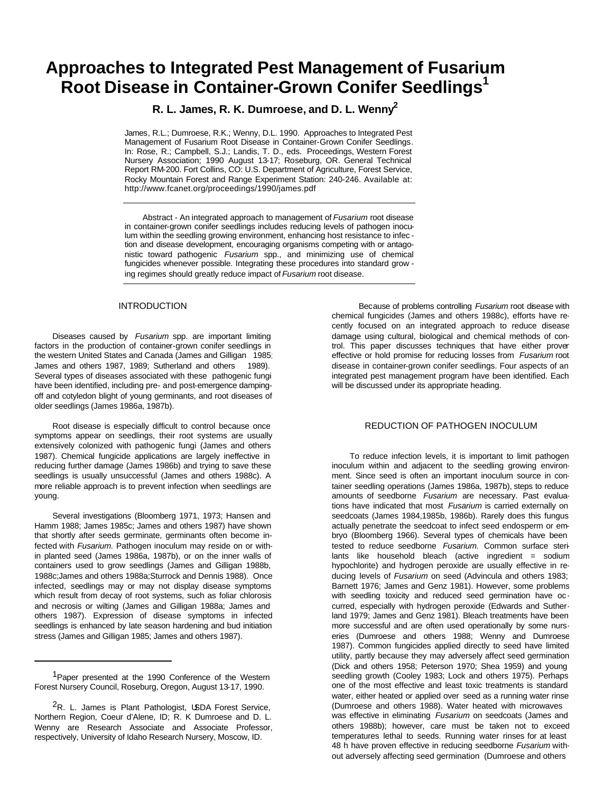# **Approaches to Integrated Pest Management of Fusarium Root Disease in Container-Grown Conifer Seedlings<sup>1</sup>**

# **R. L. James, R. K. Dumroese, and D. L. Wenny<sup>2</sup>**

James, R.L.; Dumroese, R.K.; Wenny, D.L. 1990. Approaches to Integrated Pest Management of Fusarium Root Disease in Container-Grown Conifer Seedlings. In: Rose, R.; Campbell, S.J.; Landis, T. D., eds. Proceedings, Western Forest Nursery Association; 1990 August 13-17; Roseburg, OR. General Technical Report RM-200. Fort Collins, CO: U.S. Department of Agriculture, Forest Service, Rocky Mountain Forest and Range Experiment Station: 240-246. Available at: http://www.fcanet.org/proceedings/1990/james.pdf

Abstract - An integrated approach to management of *Fusarium* root disease in container-grown conifer seedlings includes reducing levels of pathogen inoculum within the seedling growing environment, enhancing host resistance to infec tion and disease development, encouraging organisms competing with or antagonistic toward pathogenic *Fusarium* spp., and minimizing use of chemical fungicides whenever possible. Integrating these procedures into standard grow ing regimes should greatly reduce impact of *Fusarium* root disease.

#### INTRODUCTION

Diseases caused by *Fusarium* spp. are important limiting factors in the production of container-grown conifer seedlings in the western United States and Canada (James and Gilligan 1985; James and others 1987, 1989; Sutherland and others 1989). Several types of diseases associated with these pathogenic fungi have been identified, including pre- and post-emergence dampingoff and cotyledon blight of young germinants, and root diseases of older seedlings (James 1986a, 1987b).

Root disease is especially difficult to control because once symptoms appear on seedlings, their root systems are usually extensively colonized with pathogenic fungi (James and others 1987). Chemical fungicide applications are largely ineffective in reducing further damage (James 1986b) and trying to save these seedlings is usually unsuccessful (James and others 1988c). A more reliable approach is to prevent infection when seedlings are young.

Several investigations (Bloomberg 1971, 1973; Hansen and Hamm 1988; James 1985c; James and others 1987) have shown that shortly after seeds germinate, germinants often become infected with *Fusarium.* Pathogen inoculum may reside on or within planted seed (James 1986a, 1987b), or on the inner walls of containers used to grow seedlings (James and Gilligan 1988b, 1988c;James and others 1988a;Sturrock and Dennis 1988). Once infected, seedlings may or may not display disease symptoms which result from decay of root systems, such as foliar chlorosis and necrosis or wilting (James and Gilligan 1988a; James and others 1987). Expression of disease symptoms in infected seedlings is enhanced by late season hardening and bud initiation stress (James and Gilligan 1985; James and others 1987).

Because of problems controlling *Fusarium* root disease with chemical fungicides (James and others 1988c), efforts have recently focused on an integrated approach to reduce disease damage using cultural, biological and chemical methods of control. This paper discusses techniques that have either proven effective or hold promise for reducing losses from *Fusarium* root disease in container-grown conifer seedlings. Four aspects of an integrated pest management program have been identified. Each will be discussed under its appropriate heading.

# REDUCTION OF PATHOGEN INOCULUM

To reduce infection levels, it is important to limit pathogen inoculum within and adjacent to the seedling growing environment. Since seed is often an important inoculum source in container seedling operations (James 1986a, 1987b), steps to reduce amounts of seedborne *Fusarium* are necessary. Past evaluations have indicated that most *Fusarium* is carried externally on seedcoats (James 1984,1985b, 1986b). Rarely does this fungus actually penetrate the seedcoat to infect seed endosperm or embryo (Bloomberg 1966). Several types of chemicals have been tested to reduce seedborne *Fusarium.* Common surface sterilants like household bleach (active ingredient = sodium hypochlorite) and hydrogen peroxide are usually effective in reducing levels of *Fusarium* on seed (Advincula and others 1983; Barnett 1976; James and Genz 1981). However, some problems with seedling toxicity and reduced seed germination have occurred, especially with hydrogen peroxide (Edwards and Sutherland 1979; James and Genz 1981). Bleach treatments have been more successful and are often used operationally by some nurseries (Dumroese and others 1988; Wenny and Dumroese 1987). Common fungicides applied directly to seed have limited utility, partly because they may adversely affect seed germination (Dick and others 1958; Peterson 1970; Shea 1959) and young seedling growth (Cooley 1983; Lock and others 1975). Perhaps one of the most effective and least toxic treatments is standard water, either heated or applied over seed as a running water rinse (Dumroese and others 1988). Water heated with microwaves was effective in eliminating *Fusarium* on seedcoats (James and others 1988b); however, care must be taken not to exceed temperatures lethal to seeds. Running water rinses for at least 48 h have proven effective in reducing seedborne *Fusarium* without adversely affecting seed germination (Dumroese and others

<sup>&</sup>lt;sup>1</sup>Paper presented at the 1990 Conference of the Western Forest Nursery Council, Roseburg, Oregon, August 13-17, 1990.

<sup>&</sup>lt;sup>2</sup>R. L. James is Plant Pathologist, USDA Forest Service, Northern Region, Coeur d'Alene, ID; R. K Dumroese and D. L. Wenny are Research Associate and Associate Professor, respectively, University of Idaho Research Nursery, Moscow, ID.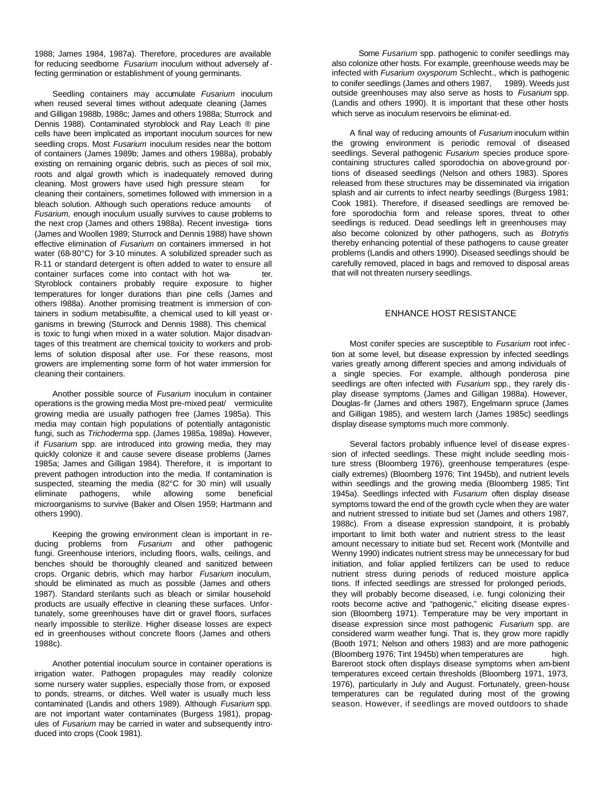1988; James 1984, 1987a). Therefore, procedures are available for reducing seedborne *Fusarium* inoculum without adversely affecting germination or establishment of young germinants.

Seedling containers may accumulate *Fusarium* inoculum when reused several times without adequate cleaning (James and Gilligan 1988b, 1988c; James and others 1988a; Sturrock and Dennis 1988). Contaminated styroblock and Ray Leach ® pine cells have been implicated as important inoculum sources for new seedling crops. Most *Fusarium* inoculum resides near the bottom of containers (James 1989b; James and others 1988a), probably existing on remaining organic debris, such as pieces of soil mix, roots and algal growth which is inadequately removed during cleaning. Most growers have used high pressure steam for cleaning their containers, sometimes followed with immersion in a bleach solution. Although such operations reduce amounts of *Fusarium,* enough inoculum usually survives to cause problems to the next crop (James and others 1988a). Recent investiga- tions (James and Woollen 1989; Sturrock and Dennis 1988) have shown effective elimination of *Fusarium* on containers immersed in hot water (68-80°C) for 3-10 minutes. A solubilized spreader such as R-11 or standard detergent is often added to water to ensure all container surfaces come into contact with hot wa-Styroblock containers probably require exposure to higher temperatures for longer durations than pine cells (James and others I988a). Another promising treatment is immersion of containers in sodium metabisulfite, a chemical used to kill yeast organisms in brewing (Sturrock and Dennis 1988). This chemical is toxic to fungi when mixed in a water solution. Major disadvantages of this treatment are chemical toxicity to workers and problems of solution disposal after use. For these reasons, most growers are implementing some form of hot water immersion for cleaning their containers.

Another possible source of *Fusarium* inoculum in container operations is the growing media Most pre-mixed peat/ vermiculite growing media are usually pathogen free (James 1985a). This media may contain high populations of potentially antagonistic fungi, such as *Trichoderma* spp. (James 1985a, 1989a). However, if *Fusarium* spp. are introduced into growing media, they may quickly colonize it and cause severe disease problems (James 1985a; James and Gilligan 1984). Therefore, it is important to prevent pathogen introduction into the media. If contamination is suspected, steaming the media (82°C for 30 min) will usually eliminate pathogens, while allowing some beneficial microorganisms to survive (Baker and Olsen 1959; Hartmann and others 1990).

Keeping the growing environment clean is important in reducing problems from *Fusarium* and other pathogenic fungi. Greenhouse interiors, including floors, walls, ceilings, and benches should be thoroughly cleaned and sanitized between crops. Organic debris, which may harbor *Fusarium* inoculum, should be eliminated as much as possible (James and others 1987). Standard sterilants such as bleach or similar household products are usually effective in cleaning these surfaces. Unfortunately, some greenhouses have dirt or gravel floors, surfaces nearly impossible to sterilize. Higher disease losses are expected in greenhouses without concrete floors (James and others 1988c).

Another potential inoculum source in container operations is irrigation water. Pathogen propagules may readily colonize some nursery water supplies, especially those from, or exposed to ponds, streams, or ditches. Well water is usually much less contaminated (Landis and others 1989). Although *Fusarium* spp. are not important water contaminates (Burgess 1981), propagules of *Fusarium* may be carried in water and subsequently introduced into crops (Cook 1981).

Some *Fusarium* spp. pathogenic to conifer seedlings may also colonize other hosts. For example, greenhouse weeds may be infected with *Fusarium oxysporum* Schlecht., which is pathogenic to conifer seedlings (James and others 1987, 1989). Weeds just outside greenhouses may also serve as hosts to *Fusarium* spp. (Landis and others 1990). It is important that these other hosts which serve as inoculum reservoirs be eliminat-ed.

A final way of reducing amounts of *Fusarium* inoculum within the growing environment is periodic removal of diseased seedlings. Several pathogenic *Fusarium* species produce sporecontaining structures called sporodochia on above-ground portions of diseased seedlings (Nelson and others 1983). Spores released from these structures may be disseminated via irrigation splash and air currents to infect nearby seedlings (Burgess 1981; Cook 1981). Therefore, if diseased seedlings are removed before sporodochia form and release spores, threat to other seedlings is reduced. Dead seedlings left in greenhouses may also become colonized by other pathogens, such as *Botrytis,* thereby enhancing potential of these pathogens to cause greater problems (Landis and others 1990). Diseased seedlings should be carefully removed, placed in bags and removed to disposal areas that will not threaten nursery seedlings.

### ENHANCE HOST RESISTANCE

Most conifer species are susceptible to *Fusarium* root infec tion at some level, but disease expression by infected seedlings varies greatly among different species and among individuals of a single species. For example, although ponderosa pine seedlings are often infected with *Fusarium* spp., they rarely dis play disease symptoms (James and Gilligan 1988a). However, Douglas-fir (James and others 1987), Engelmann spruce (James and Gilligan 1985), and western larch (James 1985c) seedlings display disease symptoms much more commonly.

Several factors probably influence level of disease expres sion of infected seedlings. These might include seedling moisture stress (Bloomberg 1976), greenhouse temperatures (especially extremes) (Bloomberg 1976; Tint 1945b), and nutrient levels within seedlings and the growing media (Bloomberg 1985; Tint 1945a). Seedlings infected with *Fusarium* often display disease symptoms toward the end of the growth cycle when they are water and nutrient stressed to initiate bud set (James and others 1987, 1988c). From a disease expression standpoint, it is probably important to limit both water and nutrient stress to the least amount necessary to initiate bud set. Recent work (Montville and Wenny 1990) indicates nutrient stress may be unnecessary for bud initiation, and foliar applied fertilizers can be used to reduce nutrient stress during periods of reduced moisture applications. If infected seedlings are stressed for prolonged periods, they will probably become diseased, i.e. fungi colonizing their roots become active and "pathogenic," eliciting disease expres sion (Bloomberg 1971). Temperature may be very important in disease expression since most pathogenic *Fusarium* spp. are considered warm weather fungi. That is, they grow more rapidly (Booth 1971; Nelson and others 1983) and are more pathogenic (Bloomberg 1976; Tint 1945b) when temperatures are high. Bareroot stock often displays disease symptoms when am-bient temperatures exceed certain thresholds (Bloomberg 1971, 1973, 1976), particularly in July and August. Fortunately, green-house temperatures can be regulated during most of the growing season. However, if seedlings are moved outdoors to shade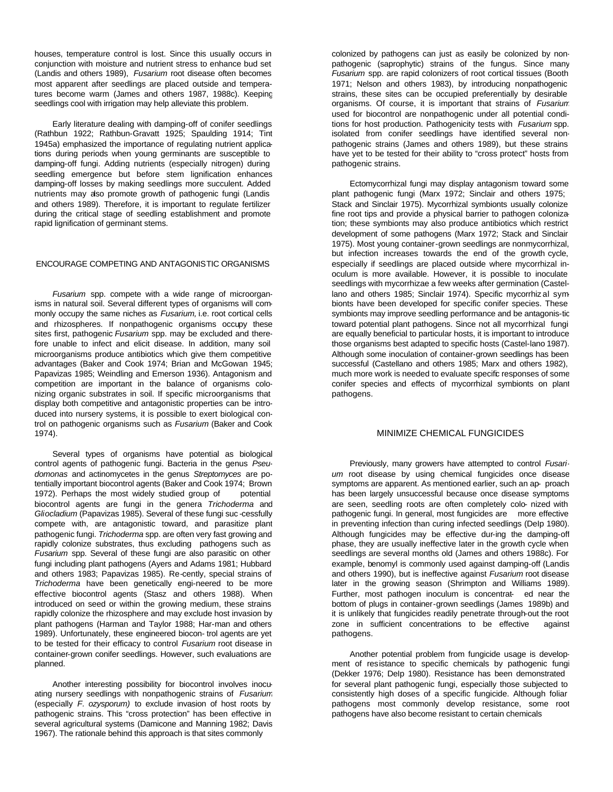houses, temperature control is lost. Since this usually occurs in conjunction with moisture and nutrient stress to enhance bud set (Landis and others 1989), *Fusarium* root disease often becomes most apparent after seedlings are placed outside and temperatures become warm (James and others 1987, 1988c). Keeping seedlings cool with irrigation may help alleviate this problem.

Early literature dealing with damping-off of conifer seedlings (Rathbun 1922; Rathbun-Gravatt 1925; Spaulding 1914; Tint 1945a) emphasized the importance of regulating nutrient applications during periods when young germinants are susceptible to damping-off fungi. Adding nutrients (especially nitrogen) during seedling emergence but before stem lignification enhances damping-off losses by making seedlings more succulent. Added nutrients may also promote growth of pathogenic fungi (Landis and others 1989). Therefore, it is important to regulate fertilizer during the critical stage of seedling establishment and promote rapid lignification of germinant stems.

#### ENCOURAGE COMPETING AND ANTAGONISTIC ORGANISMS

*Fusarium* spp. compete with a wide range of microorganisms in natural soil. Several different types of organisms will commonly occupy the same niches as *Fusarium,* i.e. root cortical cells and rhizospheres. If nonpathogenic organisms occupy these sites first, pathogenic *Fusarium* spp. may be excluded and therefore unable to infect and elicit disease. In addition, many soil microorganisms produce antibiotics which give them competitive advantages (Baker and Cook 1974; Brian and McGowan 1945; Papavizas 1985; Weindling and Emerson 1936). Antagonism and competition are important in the balance of organisms colonizing organic substrates in soil. If specific microorganisms that display both competitive and antagonistic properties can be introduced into nursery systems, it is possible to exert biological control on pathogenic organisms such as *Fusarium* (Baker and Cook 1974).

Several types of organisms have potential as biological control agents of pathogenic fungi. Bacteria in the genus *Pseudomonas* and actinomycetes in the genus *Streptomyces* are potentially important biocontrol agents (Baker and Cook 1974; Brown 1972). Perhaps the most widely studied group of potential biocontrol agents are fungi in the genera *Trichoderma* and *Gliocladium* (Papavizas 1985). Several of these fungi suc -cessfully compete with, are antagonistic toward, and parasitize plant pathogenic fungi. *Trichoderma* spp. are often very fast growing and rapidly colonize substrates, thus excluding pathogens such as *Fusarium* spp. Several of these fungi are also parasitic on other fungi including plant pathogens (Ayers and Adams 1981; Hubbard and others 1983; Papavizas 1985). Re-cently, special strains of *Trichoderma* have been genetically engi-neered to be more effective biocontrol agents (Stasz and others 1988). When introduced on seed or within the growing medium, these strains rapidly colonize the rhizosphere and may exclude host invasion by plant pathogens (Harman and Taylor 1988; Har-man and others 1989). Unfortunately, these engineered biocon- trol agents are yet to be tested for their efficacy to control *Fusarium* root disease in container-grown conifer seedlings. However, such evaluations are planned.

Another interesting possibility for biocontrol involves inocuating nursery seedlings with nonpathogenic strains of *Fusarium* (especially *F. ozysporum)* to exclude invasion of host roots by pathogenic strains. This "cross protection" has been effective in several agricultural systems (Damicone and Manning 1982; Davis 1967). The rationale behind this approach is that sites commonly

colonized by pathogens can just as easily be colonized by nonpathogenic (saprophytic) strains of the fungus. Since many *Fusarium* spp. are rapid colonizers of root cortical tissues (Booth 1971; Nelson and others 1983), by introducing nonpathogenic strains, these sites can be occupied preferentially by desirable organisms. Of course, it is important that strains of *Fusarium* used for biocontrol are nonpathogenic under all potential conditions for host production. Pathogenicity tests with *Fusarium* spp. isolated from conifer seedlings have identified several nonpathogenic strains (James and others 1989), but these strains have yet to be tested for their ability to "cross protect" hosts from pathogenic strains.

Ectomycorrhizal fungi may display antagonism toward some plant pathogenic fungi (Marx 1972; Sinclair and others 1975; Stack and Sinclair 1975). Mycorrhizal symbionts usually colonize fine root tips and provide a physical barrier to pathogen colonization; these symbionts may also produce antibiotics which restrict development of some pathogens (Marx 1972; Stack and Sinclair 1975). Most young container-grown seedlings are nonmycorrhizal, but infection increases towards the end of the growth cycle, especially if seedlings are placed outside where mycorrhizal inoculum is more available. However, it is possible to inoculate seedlings with mycorrhizae a few weeks after germination (Castellano and others 1985; Sinclair 1974). Specific mycorrhiz al symbionts have been developed for specific conifer species. These symbionts may improve seedling performance and be antagonis-tic toward potential plant pathogens. Since not all mycorrhizal fungi are equally beneficial to particular hosts, it is important to introduce those organisms best adapted to specific hosts (Castel-lano 1987). Although some inoculation of container-grown seedlings has been successful (Castellano and others 1985; Marx and others 1982), much more work is needed to evaluate specific responses of some conifer species and effects of mycorrhizal symbionts on plant pathogens.

#### MINIMIZE CHEMICAL FUNGICIDES

Previously, many growers have attempted to control *Fusarium* root disease by using chemical fungicides once disease symptoms are apparent. As mentioned earlier, such an ap- proach has been largely unsuccessful because once disease symptoms are seen, seedling roots are often completely colo- nized with pathogenic fungi. In general, most fungicides are more effective in preventing infection than curing infected seedlings (DeIp 1980). Although fungicides may be effective dur-ing the damping-off phase, they are usually ineffective later in the growth cycle when seedlings are several months old (James and others 1988c). For example, benomyl is commonly used against damping-off (Landis and others 1990), but is ineffective against *Fusarium* root disease later in the growing season (Shrimpton and Williams 1989). Further, most pathogen inoculum is concentrat- ed near the bottom of plugs in container-grown seedlings (James 1989b) and it is unlikely that fungicides readily penetrate through-out the root zone in sufficient concentrations to be effective against pathogens.

Another potential problem from fungicide usage is development of resistance to specific chemicals by pathogenic fungi (Dekker 1976; DeIp 1980). Resistance has been demonstrated for several plant pathogenic fungi, especially those subjected to consistently high doses of a specific fungicide. Although foliar pathogens most commonly develop resistance, some root pathogens have also become resistant to certain chemicals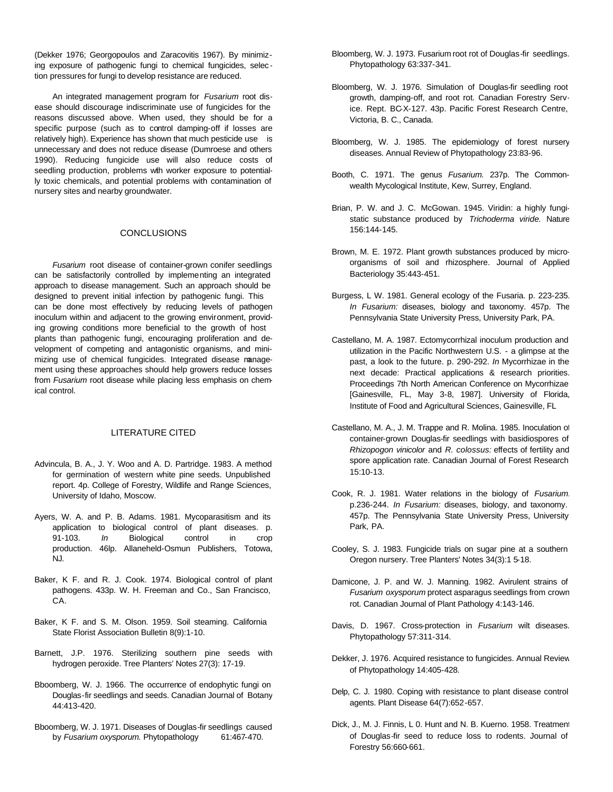(Dekker 1976; Georgopoulos and Zaracovitis 1967). By minimizing exposure of pathogenic fungi to chemical fungicides, selec tion pressures for fungi to develop resistance are reduced.

An integrated management program for *Fusarium* root disease should discourage indiscriminate use of fungicides for the reasons discussed above. When used, they should be for a specific purpose (such as to control damping-off if losses are relatively high). Experience has shown that much pesticide use is unnecessary and does not reduce disease (Dumroese and others 1990). Reducing fungicide use will also reduce costs of seedling production, problems wih worker exposure to potentially toxic chemicals, and potential problems with contamination of nursery sites and nearby groundwater.

#### **CONCLUSIONS**

*Fusarium* root disease of container-grown conifer seedlings can be satisfactorily controlled by implementing an integrated approach to disease management. Such an approach should be designed to prevent initial infection by pathogenic fungi. This can be done most effectively by reducing levels of pathogen inoculum within and adjacent to the growing environment, providing growing conditions more beneficial to the growth of host plants than pathogenic fungi, encouraging proliferation and development of competing and antagonistic organisms, and minimizing use of chemical fungicides. Integrated disease management using these approaches should help growers reduce losses from *Fusarium* root disease while placing less emphasis on chemical control.

## LITERATURE CITED

- Advincula, B. A., J. Y. Woo and A. D. Partridge. 1983. A method for germination of western white pine seeds. Unpublished report. 4p. College of Forestry, Wildlife and Range Sciences, University of Idaho, Moscow.
- Ayers, W. A. and P. B. Adams. 1981. Mycoparasitism and its application to biological control of plant diseases. p. 91-103. *In* Biological control in crop production. 46lp. Allaneheld-Osmun Publishers, Totowa, NJ.
- Baker, K F. and R. J. Cook. 1974. Biological control of plant pathogens. 433p. W. H. Freeman and Co., San Francisco, CA.
- Baker, K F. and S. M. Olson. 1959. Soil steaming. California State Florist Association Bulletin 8(9):1-10.
- Barnett, J.P. 1976. Sterilizing southern pine seeds with hydrogen peroxide. Tree Planters' Notes 27(3): 17-19.
- Bboomberg, W. J. 1966. The occurrence of endophytic fungi on Douglas-fir seedlings and seeds. Canadian Journal of Botany 44:413-420.
- Bboomberg, W. J. 1971. Diseases of Douglas-fir seedlings caused by *Fusarium oxysporum.* Phytopathology 61:467-470.
- Bloomberg, W. J. 1973. Fusarium root rot of Douglas-fir seedlings. Phytopathology 63:337-341.
- Bloomberg, W. J. 1976. Simulation of Douglas-fir seedling root growth, damping-off, and root rot. Canadian Forestry Service. Rept. BC-X-127. 43p. Pacific Forest Research Centre, Victoria, B. C., Canada.
- Bloomberg, W. J. 1985. The epidemiology of forest nursery diseases. Annual Review of Phytopathology 23:83-96.
- Booth, C. 1971. The genus *Fusarium.* 237p. The Commonwealth Mycological Institute, Kew, Surrey, England.
- Brian, P. W. and J. C. McGowan. 1945. Viridin: a highly fungistatic substance produced by *Trichoderma viride.* Nature 156:144-145.
- Brown, M. E. 1972. Plant growth substances produced by microorganisms of soil and rhizosphere. Journal of Applied Bacteriology 35:443-451.
- Burgess, L W. 1981. General ecology of the Fusaria. p. 223-235. *In Fusarium:* diseases, biology and taxonomy. 457p. The Pennsylvania State University Press, University Park, PA.
- Castellano, M. A. 1987. Ectomycorrhizal inoculum production and utilization in the Pacific Northwestern U.S. - a glimpse at the past, a look to the future. p. 290-292. *In* Mycorrhizae in the next decade: Practical applications & research priorities. Proceedings 7th North American Conference on Mycorrhizae [Gainesville, FL, May 3-8, 1987]. University of Florida, Institute of Food and Agricultural Sciences, Gainesville, FL
- Castellano, M. A., J. M. Trappe and R. Molina. 1985. Inoculation of container-grown Douglas-fir seedlings with basidiospores of *Rhizopogon vinicolor* and *R. colossus:* effects of fertility and spore application rate. Canadian Journal of Forest Research 15:10-13.
- Cook, R. J. 1981. Water relations in the biology of *Fusarium.* p.236-244. *In Fusarium:* diseases, biology, and taxonomy. 457p. The Pennsylvania State University Press, University Park, PA.
- Cooley, S. J. 1983. Fungicide trials on sugar pine at a southern Oregon nursery. Tree Planters' Notes 34(3):1 5-18.
- Damicone, J. P. and W. J. Manning. 1982. Avirulent strains of *Fusarium oxysporum* protect asparagus seedlings from crown rot. Canadian Journal of Plant Pathology 4:143-146.
- Davis, D. 1967. Cross-protection in *Fusarium* wilt diseases. Phytopathology 57:311-314.
- Dekker, J. 1976. Acquired resistance to fungicides. Annual Review of Phytopathology 14:405-428.
- Delp, C. J. 1980. Coping with resistance to plant disease control agents. Plant Disease 64(7):652-657.
- Dick, J., M. J. Finnis, L 0. Hunt and N. B. Kuerno. 1958. Treatment of Douglas-fir seed to reduce loss to rodents. Journal of Forestry 56:660-661.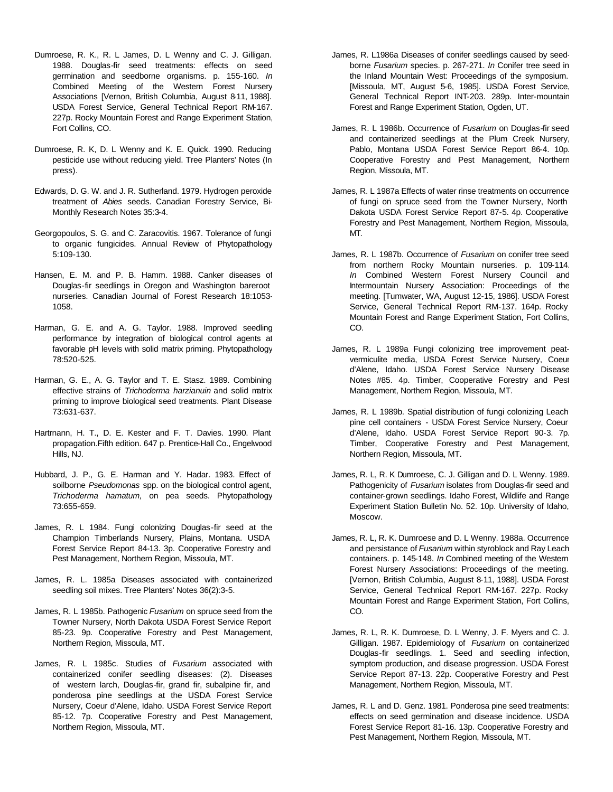- Dumroese, R. K., R. L James, D. L Wenny and C. J. Gilligan. 1988. Douglas-fir seed treatments: effects on seed germination and seedborne organisms. p. 155-160. *In* Combined Meeting of the Western Forest Nursery Associations [Vernon, British Columbia, August 8-11, 1988]. USDA Forest Service, General Technical Report RM-167. 227p. Rocky Mountain Forest and Range Experiment Station, Fort Collins, CO.
- Dumroese, R. K, D. L Wenny and K. E. Quick. 1990. Reducing pesticide use without reducing yield. Tree Planters' Notes (In press).
- Edwards, D. G. W. and J. R. Sutherland. 1979. Hydrogen peroxide treatment of *Abies* seeds. Canadian Forestry Service, Bi-Monthly Research Notes 35:3-4.
- Georgopoulos, S. G. and C. Zaracovitis. 1967. Tolerance of fungi to organic fungicides. Annual Review of Phytopathology 5:109-130.
- Hansen, E. M. and P. B. Hamm. 1988. Canker diseases of Douglas-fir seedlings in Oregon and Washington bareroot nurseries. Canadian Journal of Forest Research 18:1053- 1058.
- Harman, G. E. and A. G. Taylor. 1988. Improved seedling performance by integration of biological control agents at favorable pH levels with solid matrix priming. Phytopathology 78:520-525.
- Harman, G. E., A. G. Taylor and T. E. Stasz. 1989. Combining effective strains of *Trichoderma harzianuin* and solid matrix priming to improve biological seed treatments. Plant Disease 73:631-637.
- Hartrnann, H. T., D. E. Kester and F. T. Davies. 1990. Plant propagation.Fifth edition. 647 p. Prentice-Hall Co., Engelwood Hills, NJ.
- Hubbard, J. P., G. E. Harman and Y. Hadar. 1983. Effect of soilborne *Pseudomonas* spp. on the biological control agent, *Trichoderma hamatum,* on pea seeds. Phytopathology 73:655-659.
- James, R. L 1984. Fungi colonizing Douglas-fir seed at the Champion Timberlands Nursery, Plains, Montana. USDA Forest Service Report 84-13. 3p. Cooperative Forestry and Pest Management, Northern Region, Missoula, MT.
- James, R. L. 1985a Diseases associated with containerized seedling soil mixes. Tree Planters' Notes 36(2):3-5.
- James, R. L 1985b. Pathogenic *Fusarium* on spruce seed from the Towner Nursery, North Dakota USDA Forest Service Report 85-23. 9p. Cooperative Forestry and Pest Management, Northern Region, Missoula, MT.
- James, R. L 1985c. Studies of *Fusarium* associated with containerized conifer seedling diseases: (2). Diseases of western larch, Douglas-fir, grand fir, subalpine fir, and ponderosa pine seedlings at the USDA Forest Service Nursery, Coeur d'Alene, Idaho. USDA Forest Service Report 85-12. 7p. Cooperative Forestry and Pest Management, Northern Region, Missoula, MT.
- James, R. L1986a Diseases of conifer seedlings caused by seedborne *Fusarium* species. p. 267-271. *In* Conifer tree seed in the Inland Mountain West: Proceedings of the symposium. [Missoula, MT, August 5-6, 1985]. USDA Forest Service, General Technical Report INT-203. 289p. Inter-mountain Forest and Range Experiment Station, Ogden, UT.
- James, R. L 1986b. Occurrence of *Fusarium* on Douglas-fir seed and containerized seedlings at the Plum Creek Nursery, Pablo, Montana USDA Forest Service Report 86-4. 10p. Cooperative Forestry and Pest Management, Northern Region, Missoula, MT.
- James, R. L 1987a Effects of water rinse treatments on occurrence of fungi on spruce seed from the Towner Nursery, North Dakota USDA Forest Service Report 87-5. 4p. Cooperative Forestry and Pest Management, Northern Region, Missoula, MT.
- James, R. L 1987b. Occurrence of *Fusarium* on conifer tree seed from northern Rocky Mountain nurseries. p. 109-114. *In* Combined Western Forest Nursery Council and Intermountain Nursery Association: Proceedings of the meeting. [Tumwater, WA, August 12-15, 1986]. USDA Forest Service, General Technical Report RM-137. 164p. Rocky Mountain Forest and Range Experiment Station, Fort Collins, CO.
- James, R. L 1989a Fungi colonizing tree improvement peatvermiculite media, USDA Forest Service Nursery, Coeur d'Alene, Idaho. USDA Forest Service Nursery Disease Notes #85. 4p. Timber, Cooperative Forestry and Pest Management, Northern Region, Missoula, MT.
- James, R. L 1989b. Spatial distribution of fungi colonizing Leach pine cell containers - USDA Forest Service Nursery, Coeur d'Alene, Idaho. USDA Forest Service Report 90-3. 7p. Timber, Cooperative Forestry and Pest Management, Northern Region, Missoula, MT.
- James, R. L, R. K Dumroese, C. J. Gilligan and D. L Wenny. 1989. Pathogenicity of *Fusarium* isolates from Douglas-fir seed and container-grown seedlings. Idaho Forest, Wildlife and Range Experiment Station Bulletin No. 52. 10p. University of Idaho, Moscow.
- James, R. L, R. K. Dumroese and D. L Wenny. 1988a. Occurrence and persistance of *Fusarium* within styroblock and Ray Leach containers. p. 145-148. *In* Combined meeting of the Western Forest Nursery Associations: Proceedings of the meeting. [Vernon, British Columbia, August 8-11, 1988]. USDA Forest Service, General Technical Report RM-167. 227p. Rocky Mountain Forest and Range Experiment Station, Fort Collins, CO.
- James, R. L, R. K. Dumroese, D. L Wenny, J. F. Myers and C. J. Gilligan. 1987. Epidemiology of *Fusarium* on containerized Douglas-fir seedlings. 1. Seed and seedling infection, symptom production, and disease progression. USDA Forest Service Report 87-13. 22p. Cooperative Forestry and Pest Management, Northern Region, Missoula, MT.
- James, R. L and D. Genz. 1981. Ponderosa pine seed treatments: effects on seed germination and disease incidence. USDA Forest Service Report 81-16. 13p. Cooperative Forestry and Pest Management, Northern Region, Missoula, MT.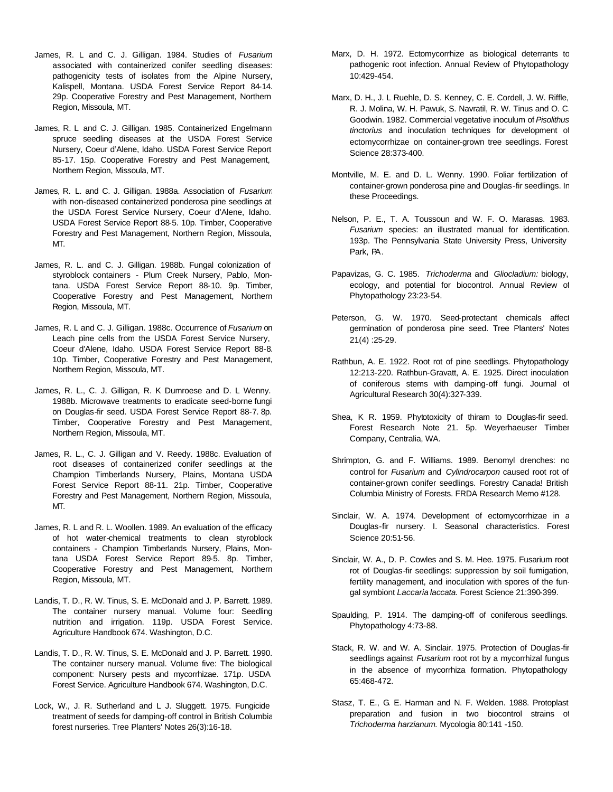- James, R. L and C. J. Gilligan. 1984. Studies of *Fusarium*  associated with containerized conifer seedling diseases: pathogenicity tests of isolates from the Alpine Nursery, Kalispell, Montana. USDA Forest Service Report 84-14. 29p. Cooperative Forestry and Pest Management, Northern Region, Missoula, MT.
- James, R. L and C. J. Gilligan. 1985. Containerized Engelmann spruce seedling diseases at the USDA Forest Service Nursery, Coeur d'Alene, Idaho. USDA Forest Service Report 85-17. 15p. Cooperative Forestry and Pest Management, Northern Region, Missoula, MT.
- James, R. L. and C. J. Gilligan. 1988a. Association of *Fusarium* with non-diseased containerized ponderosa pine seedlings at the USDA Forest Service Nursery, Coeur d'Alene, Idaho. USDA Forest Service Report 88-5. 10p. Timber, Cooperative Forestry and Pest Management, Northern Region, Missoula, MT.
- James, R. L. and C. J. Gilligan. 1988b. Fungal colonization of styroblock containers - Plum Creek Nursery, Pablo, Montana. USDA Forest Service Report 88-10. 9p. Timber, Cooperative Forestry and Pest Management, Northern Region, Missoula, MT.
- James, R. L and C. J. Gilligan. 1988c. Occurrence of *Fusarium* on Leach pine cells from the USDA Forest Service Nursery, Coeur d'Alene, Idaho. USDA Forest Service Report 88-8. 10p. Timber, Cooperative Forestry and Pest Management, Northern Region, Missoula, MT.
- James, R. L., C. J. Gilligan, R. K Dumroese and D. L Wenny. 1988b. Microwave treatments to eradicate seed-borne fungi on Douglas-fir seed. USDA Forest Service Report 88-7. 8p. Timber, Cooperative Forestry and Pest Management, Northern Region, Missoula, MT.
- James, R. L., C. J. Gilligan and V. Reedy. 1988c. Evaluation of root diseases of containerized conifer seedlings at the Champion Timberlands Nursery, Plains, Montana USDA Forest Service Report 88-11. 21p. Timber, Cooperative Forestry and Pest Management, Northern Region, Missoula, MT.
- James, R. L and R. L. Woollen. 1989. An evaluation of the efficacy of hot water-chemical treatments to clean styroblock containers - Champion Timberlands Nursery, Plains, Montana USDA Forest Service Report 89-5. 8p. Timber, Cooperative Forestry and Pest Management, Northern Region, Missoula, MT.
- Landis, T. D., R. W. Tinus, S. E. McDonald and J. P. Barrett. 1989. The container nursery manual. Volume four: Seedling nutrition and irrigation. 119p. USDA Forest Service. Agriculture Handbook 674. Washington, D.C.
- Landis, T. D., R. W. Tinus, S. E. McDonald and J. P. Barrett. 1990. The container nursery manual. Volume five: The biological component: Nursery pests and mycorrhizae. 171p. USDA Forest Service. Agriculture Handbook 674. Washington, D.C.
- Lock, W., J. R. Sutherland and L J. Sluggett. 1975. Fungicide treatment of seeds for damping-off control in British Columbia forest nurseries. Tree Planters' Notes 26(3):16-18.
- Marx, D. H. 1972. Ectomycorrhize as biological deterrants to pathogenic root infection. Annual Review of Phytopathology 10:429-454.
- Marx, D. H., J. L Ruehle, D. S. Kenney, C. E. Cordell, J. W. Riffle, R. J. Molina, W. H. Pawuk, S. Navratil, R. W. Tinus and O. C. Goodwin. 1982. Commercial vegetative inoculum of *Pisolithus tinctorius* and inoculation techniques for development of ectomycorrhizae on container-grown tree seedlings. Forest Science 28:373-400.
- Montville, M. E. and D. L. Wenny. 1990. Foliar fertilization of container-grown ponderosa pine and Douglas-fir seedlings. In these Proceedings.
- Nelson, P. E., T. A. Toussoun and W. F. O. Marasas. 1983. *Fusarium* species: an illustrated manual for identification. 193p. The Pennsylvania State University Press, University Park, PA.
- Papavizas, G. C. 1985. *Trichoderma* and *Gliocladium:* biology, ecology, and potential for biocontrol. Annual Review of Phytopathology 23:23-54.
- Peterson, G. W. 1970. Seed-protectant chemicals affect germination of ponderosa pine seed. Tree Planters' Notes 21(4) :25-29.
- Rathbun, A. E. 1922. Root rot of pine seedlings. Phytopathology 12:213-220. Rathbun-Gravatt, A. E. 1925. Direct inoculation of coniferous stems with damping-off fungi. Journal of Agricultural Research 30(4):327-339.
- Shea, K R. 1959. Phytotoxicity of thiram to Douglas-fir seed. Forest Research Note 21. 5p. Weyerhaeuser Timber Company, Centralia, WA.
- Shrimpton, G. and F. Williams. 1989. Benomyl drenches: no control for *Fusarium* and *Cylindrocarpon* caused root rot of container-grown conifer seedlings. Forestry Canada! British Columbia Ministry of Forests. FRDA Research Memo #128.
- Sinclair, W. A. 1974. Development of ectomycorrhizae in a Douglas-fir nursery. I. Seasonal characteristics. Forest Science 20:51-56.
- Sinclair, W. A., D. P. Cowles and S. M. Hee. 1975. Fusarium root rot of Douglas-fir seedlings: suppression by soil fumigation, fertility management, and inoculation with spores of the fungal symbiont *Laccaria laccata.* Forest Science 21:390-399.
- Spaulding, P. 1914. The damping-off of coniferous seedlings. Phytopathology 4:73-88.
- Stack, R. W. and W. A. Sinclair. 1975. Protection of Douglas-fir seedlings against *Fusarium* root rot by a mycorrhizal fungus in the absence of mycorrhiza formation. Phytopathology 65:468-472.
- Stasz, T. E., G. E. Harman and N. F. Welden. 1988. Protoplast preparation and fusion in two biocontrol strains of *Trichoderma harzianum.* Mycologia 80:141 -150.